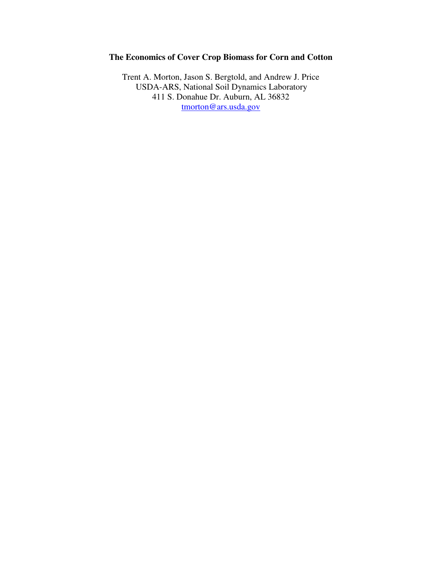# **The Economics of Cover Crop Biomass for Corn and Cotton**

Trent A. Morton, Jason S. Bergtold, and Andrew J. Price USDA-ARS, National Soil Dynamics Laboratory 411 S. Donahue Dr. Auburn, AL 36832 tmorton@ars.usda.gov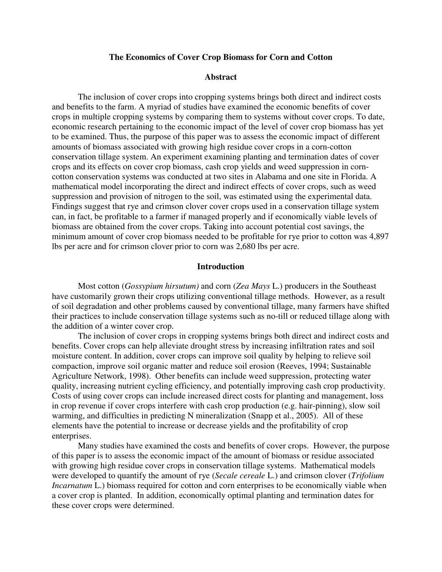## **The Economics of Cover Crop Biomass for Corn and Cotton**

## **Abstract**

The inclusion of cover crops into cropping systems brings both direct and indirect costs and benefits to the farm. A myriad of studies have examined the economic benefits of cover crops in multiple cropping systems by comparing them to systems without cover crops. To date, economic research pertaining to the economic impact of the level of cover crop biomass has yet to be examined. Thus, the purpose of this paper was to assess the economic impact of different amounts of biomass associated with growing high residue cover crops in a corn-cotton conservation tillage system. An experiment examining planting and termination dates of cover crops and its effects on cover crop biomass, cash crop yields and weed suppression in corncotton conservation systems was conducted at two sites in Alabama and one site in Florida. A mathematical model incorporating the direct and indirect effects of cover crops, such as weed suppression and provision of nitrogen to the soil, was estimated using the experimental data. Findings suggest that rye and crimson clover cover crops used in a conservation tillage system can, in fact, be profitable to a farmer if managed properly and if economically viable levels of biomass are obtained from the cover crops. Taking into account potential cost savings, the minimum amount of cover crop biomass needed to be profitable for rye prior to cotton was 4,897 lbs per acre and for crimson clover prior to corn was 2,680 lbs per acre.

## **Introduction**

 Most cotton (*Gossypium hirsutum)* and corn (*Zea Mays* L.) producers in the Southeast have customarily grown their crops utilizing conventional tillage methods. However, as a result of soil degradation and other problems caused by conventional tillage, many farmers have shifted their practices to include conservation tillage systems such as no-till or reduced tillage along with the addition of a winter cover crop.

 The inclusion of cover crops in cropping systems brings both direct and indirect costs and benefits. Cover crops can help alleviate drought stress by increasing infiltration rates and soil moisture content. In addition, cover crops can improve soil quality by helping to relieve soil compaction, improve soil organic matter and reduce soil erosion (Reeves, 1994; Sustainable Agriculture Network, 1998). Other benefits can include weed suppression, protecting water quality, increasing nutrient cycling efficiency, and potentially improving cash crop productivity. Costs of using cover crops can include increased direct costs for planting and management, loss in crop revenue if cover crops interfere with cash crop production (e.g. hair-pinning), slow soil warming, and difficulties in predicting N mineralization (Snapp et al., 2005). All of these elements have the potential to increase or decrease yields and the profitability of crop enterprises.

Many studies have examined the costs and benefits of cover crops. However, the purpose of this paper is to assess the economic impact of the amount of biomass or residue associated with growing high residue cover crops in conservation tillage systems. Mathematical models were developed to quantify the amount of rye (*Secale cereale* L.) and crimson clover (*Trifolium Incarnatum* L.) biomass required for cotton and corn enterprises to be economically viable when a cover crop is planted. In addition, economically optimal planting and termination dates for these cover crops were determined.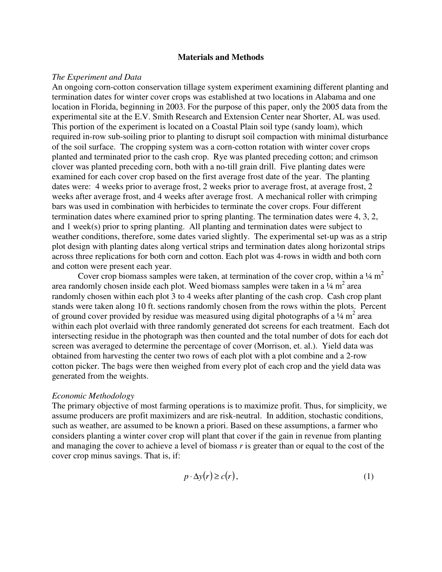### **Materials and Methods**

## *The Experiment and Data*

An ongoing corn-cotton conservation tillage system experiment examining different planting and termination dates for winter cover crops was established at two locations in Alabama and one location in Florida, beginning in 2003. For the purpose of this paper, only the 2005 data from the experimental site at the E.V. Smith Research and Extension Center near Shorter, AL was used. This portion of the experiment is located on a Coastal Plain soil type (sandy loam), which required in-row sub-soiling prior to planting to disrupt soil compaction with minimal disturbance of the soil surface. The cropping system was a corn-cotton rotation with winter cover crops planted and terminated prior to the cash crop. Rye was planted preceding cotton; and crimson clover was planted preceding corn, both with a no-till grain drill. Five planting dates were examined for each cover crop based on the first average frost date of the year. The planting dates were: 4 weeks prior to average frost, 2 weeks prior to average frost, at average frost, 2 weeks after average frost, and 4 weeks after average frost. A mechanical roller with crimping bars was used in combination with herbicides to terminate the cover crops. Four different termination dates where examined prior to spring planting. The termination dates were 4, 3, 2, and 1 week(s) prior to spring planting. All planting and termination dates were subject to weather conditions, therefore, some dates varied slightly. The experimental set-up was as a strip plot design with planting dates along vertical strips and termination dates along horizontal strips across three replications for both corn and cotton. Each plot was 4-rows in width and both corn and cotton were present each year.

Cover crop biomass samples were taken, at termination of the cover crop, within a  $\frac{1}{4}$  m<sup>2</sup> area randomly chosen inside each plot. Weed biomass samples were taken in a  $\frac{1}{4}$  m<sup>2</sup> area randomly chosen within each plot 3 to 4 weeks after planting of the cash crop. Cash crop plant stands were taken along 10 ft. sections randomly chosen from the rows within the plots. Percent of ground cover provided by residue was measured using digital photographs of a  $\frac{1}{4}$  m<sup>2</sup> area within each plot overlaid with three randomly generated dot screens for each treatment. Each dot intersecting residue in the photograph was then counted and the total number of dots for each dot screen was averaged to determine the percentage of cover (Morrison, et. al.). Yield data was obtained from harvesting the center two rows of each plot with a plot combine and a 2-row cotton picker. The bags were then weighed from every plot of each crop and the yield data was generated from the weights.

#### *Economic Methodology*

The primary objective of most farming operations is to maximize profit. Thus, for simplicity, we assume producers are profit maximizers and are risk-neutral. In addition, stochastic conditions, such as weather, are assumed to be known a priori. Based on these assumptions, a farmer who considers planting a winter cover crop will plant that cover if the gain in revenue from planting and managing the cover to achieve a level of biomass *r* is greater than or equal to the cost of the cover crop minus savings. That is, if:

$$
p \cdot \Delta y(r) \ge c(r),\tag{1}
$$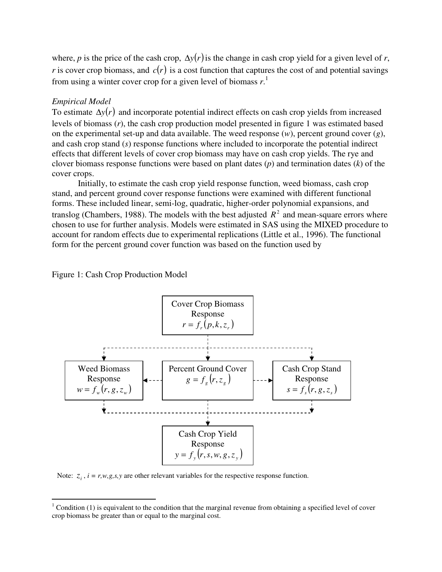where, *p* is the price of the cash crop,  $\Delta y(r)$  is the change in cash crop yield for a given level of *r*, *r* is cover crop biomass, and  $c(r)$  is a cost function that captures the cost of and potential savings from using a winter cover crop for a given level of biomass *r*. 1

## *Empirical Model*

 $\overline{a}$ 

To estimate ∆*y*(*r*) and incorporate potential indirect effects on cash crop yields from increased levels of biomass (*r*), the cash crop production model presented in figure 1 was estimated based on the experimental set-up and data available. The weed response (*w*), percent ground cover (*g*), and cash crop stand (*s*) response functions where included to incorporate the potential indirect effects that different levels of cover crop biomass may have on cash crop yields. The rye and clover biomass response functions were based on plant dates (*p*) and termination dates (*k*) of the cover crops.

 Initially, to estimate the cash crop yield response function, weed biomass, cash crop stand, and percent ground cover response functions were examined with different functional forms. These included linear, semi-log, quadratic, higher-order polynomial expansions, and translog (Chambers, 1988). The models with the best adjusted  $R^2$  and mean-square errors where chosen to use for further analysis. Models were estimated in SAS using the MIXED procedure to account for random effects due to experimental replications (Little et al., 1996). The functional form for the percent ground cover function was based on the function used by

Figure 1: Cash Crop Production Model



Note:  $z_i$ ,  $i = r, w, g, s, y$  are other relevant variables for the respective response function.

 $1$  Condition (1) is equivalent to the condition that the marginal revenue from obtaining a specified level of cover crop biomass be greater than or equal to the marginal cost.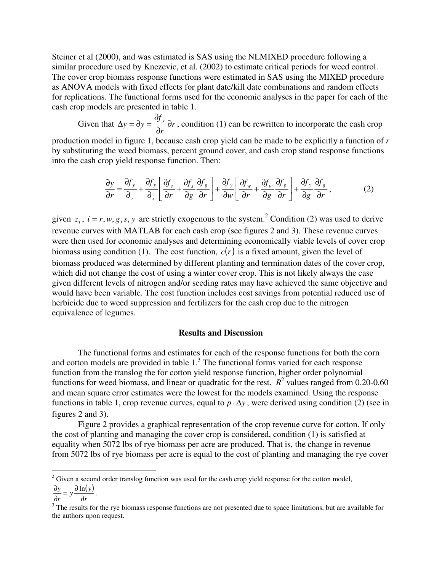Steiner et al (2000), and was estimated is SAS using the NLMIXED procedure following a similar procedure used by Knezevic, et al. (2002) to estimate critical periods for weed control. The cover crop biomass response functions were estimated in SAS using the MIXED procedure as ANOVA models with fixed effects for plant date/kill date combinations and random effects for replications. The functional forms used for the economic analyses in the paper for each of the cash crop models are presented in table 1.

Given that  $\Delta y = \partial y = \frac{\partial y}{\partial x} \partial r$ *r f*  $y = \partial y = \frac{\partial y}{\partial y} \partial$ ∂ ∂  $\Delta y = \partial y = \frac{\partial y}{\partial x} \partial r$ , condition (1) can be rewritten to incorporate the cash crop

production model in figure 1, because cash crop yield can be made to be explicitly a function of *r* by substituting the weed biomass, percent ground cover, and cash crop stand response functions into the cash crop yield response function. Then:

$$
\frac{\partial y}{\partial r} = \frac{\partial f_y}{\partial r} + \frac{\partial f_y}{\partial s} \left[ \frac{\partial f_s}{\partial r} + \frac{\partial f_s}{\partial g} \frac{\partial f_s}{\partial r} \right] + \frac{\partial f_y}{\partial w} \left[ \frac{\partial f_w}{\partial r} + \frac{\partial f_w}{\partial g} \frac{\partial f_s}{\partial r} \right] + \frac{\partial f_y}{\partial g} \frac{\partial f_s}{\partial r},\tag{2}
$$

given  $z_i$ ,  $i = r, w, g, s, y$  are strictly exogenous to the system.<sup>2</sup> Condition (2) was used to derive revenue curves with MATLAB for each cash crop (see figures 2 and 3). These revenue curves were then used for economic analyses and determining economically viable levels of cover crop biomass using condition (1). The cost function,  $c(r)$  is a fixed amount, given the level of biomass produced was determined by different planting and termination dates of the cover crop, which did not change the cost of using a winter cover crop. This is not likely always the case given different levels of nitrogen and/or seeding rates may have achieved the same objective and would have been variable. The cost function includes cost savings from potential reduced use of herbicide due to weed suppression and fertilizers for the cash crop due to the nitrogen equivalence of legumes.

## **Results and Discussion**

The functional forms and estimates for each of the response functions for both the corn and cotton models are provided in table  $1<sup>3</sup>$ . The functional forms varied for each response function from the translog the for cotton yield response function, higher order polynomial functions for weed biomass, and linear or quadratic for the rest.  $R^2$  values ranged from 0.20-0.60 and mean square error estimates were the lowest for the models examined. Using the response functions in table 1, crop revenue curves, equal to  $p \cdot \Delta y$ , were derived using condition (2) (see in figures 2 and 3).

Figure 2 provides a graphical representation of the crop revenue curve for cotton. If only the cost of planting and managing the cover crop is considered, condition (1) is satisfied at equality when 5072 lbs of rye biomass per acre are produced. That is, the change in revenue from 5072 lbs of rye biomass per acre is equal to the cost of planting and managing the rye cover

 $\overline{a}$ 

 $2^2$  Given a second order translog function was used for the cash crop yield response for the cotton model,

 $(y)$  $\frac{y}{r} = y \frac{\partial \ln(y)}{\partial r}$ *y*  $\frac{\partial y}{\partial r} = y \frac{\partial}{\partial r}$  $\frac{\partial y}{\partial y} = y \frac{\partial \ln(y)}{\partial x}$ .

*r* ∂

 $3$  The results for the rye biomass response functions are not presented due to space limitations, but are available for the authors upon request.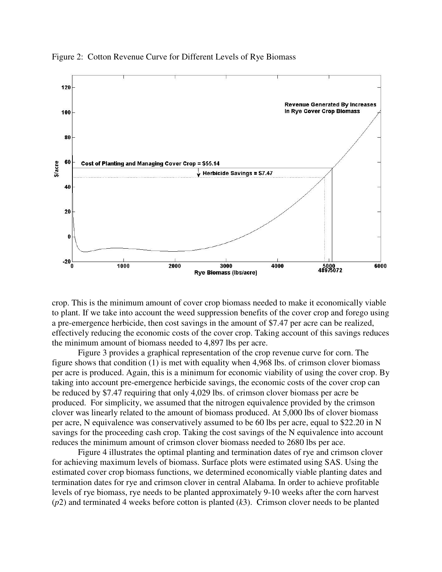

Figure 2: Cotton Revenue Curve for Different Levels of Rye Biomass

crop. This is the minimum amount of cover crop biomass needed to make it economically viable to plant. If we take into account the weed suppression benefits of the cover crop and forego using a pre-emergence herbicide, then cost savings in the amount of \$7.47 per acre can be realized, effectively reducing the economic costs of the cover crop. Taking account of this savings reduces the minimum amount of biomass needed to 4,897 lbs per acre.

Figure 3 provides a graphical representation of the crop revenue curve for corn. The figure shows that condition (1) is met with equality when 4,968 lbs. of crimson clover biomass per acre is produced. Again, this is a minimum for economic viability of using the cover crop. By taking into account pre-emergence herbicide savings, the economic costs of the cover crop can be reduced by \$7.47 requiring that only 4,029 lbs. of crimson clover biomass per acre be produced. For simplicity, we assumed that the nitrogen equivalence provided by the crimson clover was linearly related to the amount of biomass produced. At 5,000 lbs of clover biomass per acre, N equivalence was conservatively assumed to be 60 lbs per acre, equal to \$22.20 in N savings for the proceeding cash crop. Taking the cost savings of the N equivalence into account reduces the minimum amount of crimson clover biomass needed to 2680 lbs per ace.

Figure 4 illustrates the optimal planting and termination dates of rye and crimson clover for achieving maximum levels of biomass. Surface plots were estimated using SAS. Using the estimated cover crop biomass functions, we determined economically viable planting dates and termination dates for rye and crimson clover in central Alabama. In order to achieve profitable levels of rye biomass, rye needs to be planted approximately 9-10 weeks after the corn harvest (*p*2) and terminated 4 weeks before cotton is planted (*k*3). Crimson clover needs to be planted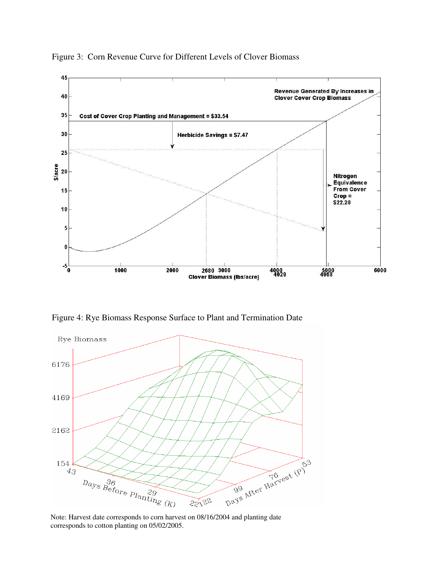

Figure 3:Corn Revenue Curve for Different Levels of Clover Biomass

Figure 4: Rye Biomass Response Surface to Plant and Termination Date



Note: Harvest date corresponds to corn harvest on 08/16/2004 and planting date corresponds to cotton planting on 05/02/2005.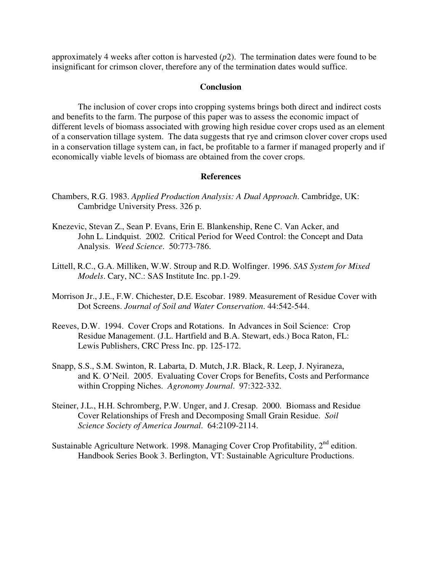approximately 4 weeks after cotton is harvested (*p*2). The termination dates were found to be insignificant for crimson clover, therefore any of the termination dates would suffice.

## **Conclusion**

 The inclusion of cover crops into cropping systems brings both direct and indirect costs and benefits to the farm. The purpose of this paper was to assess the economic impact of different levels of biomass associated with growing high residue cover crops used as an element of a conservation tillage system. The data suggests that rye and crimson clover cover crops used in a conservation tillage system can, in fact, be profitable to a farmer if managed properly and if economically viable levels of biomass are obtained from the cover crops.

## **References**

- Chambers, R.G. 1983. *Applied Production Analysis: A Dual Approach*. Cambridge, UK: Cambridge University Press. 326 p.
- Knezevic, Stevan Z., Sean P. Evans, Erin E. Blankenship, Rene C. Van Acker, and John L. Lindquist. 2002. Critical Period for Weed Control: the Concept and Data Analysis. *Weed Science*. 50:773-786.
- Littell, R.C., G.A. Milliken, W.W. Stroup and R.D. Wolfinger. 1996. *SAS System for Mixed Models*. Cary, NC.: SAS Institute Inc. pp.1-29.
- Morrison Jr., J.E., F.W. Chichester, D.E. Escobar. 1989. Measurement of Residue Cover with Dot Screens. *Journal of Soil and Water Conservation*. 44:542-544.
- Reeves, D.W. 1994. Cover Crops and Rotations. In Advances in Soil Science: Crop Residue Management. (J.L. Hartfield and B.A. Stewart, eds.) Boca Raton, FL: Lewis Publishers, CRC Press Inc. pp. 125-172.
- Snapp, S.S., S.M. Swinton, R. Labarta, D. Mutch, J.R. Black, R. Leep, J. Nyiraneza, and K. O'Neil. 2005. Evaluating Cover Crops for Benefits, Costs and Performance within Cropping Niches. *Agronomy Journal*. 97:322-332.
- Steiner, J.L., H.H. Schromberg, P.W. Unger, and J. Cresap. 2000. Biomass and Residue Cover Relationships of Fresh and Decomposing Small Grain Residue. *Soil Science Society of America Journal*. 64:2109-2114.
- Sustainable Agriculture Network. 1998. Managing Cover Crop Profitability,  $2<sup>nd</sup>$  edition. Handbook Series Book 3. Berlington, VT: Sustainable Agriculture Productions.